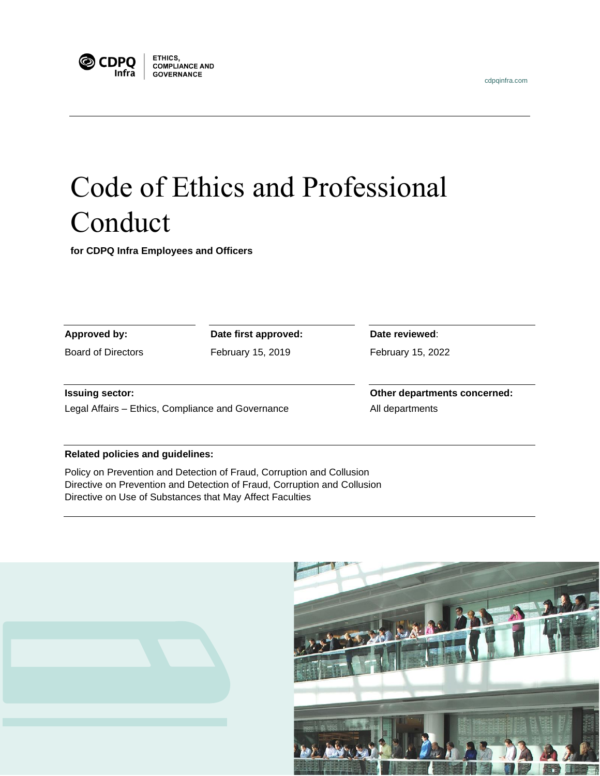



**ETHICS,<br>COMPLIANCE AND<br>GOVERNANCE GOVERNANCE** 

# Code of Ethics and Professional Conduct

**for CDPQ Infra Employees and Officers** 

| Approved by:                                      | Date first approved: | Date reviewed:               |
|---------------------------------------------------|----------------------|------------------------------|
| Board of Directors                                | February 15, 2019    | February 15, 2022            |
| <b>Issuing sector:</b>                            |                      | Other departments concerned: |
| Legal Affairs - Ethics, Compliance and Governance |                      | All departments              |
|                                                   |                      |                              |

#### **Related policies and guidelines:**

Policy on Prevention and Detection of Fraud, Corruption and Collusion Directive on Prevention and Detection of Fraud, Corruption and Collusion Directive on Use of Substances that May Affect Faculties

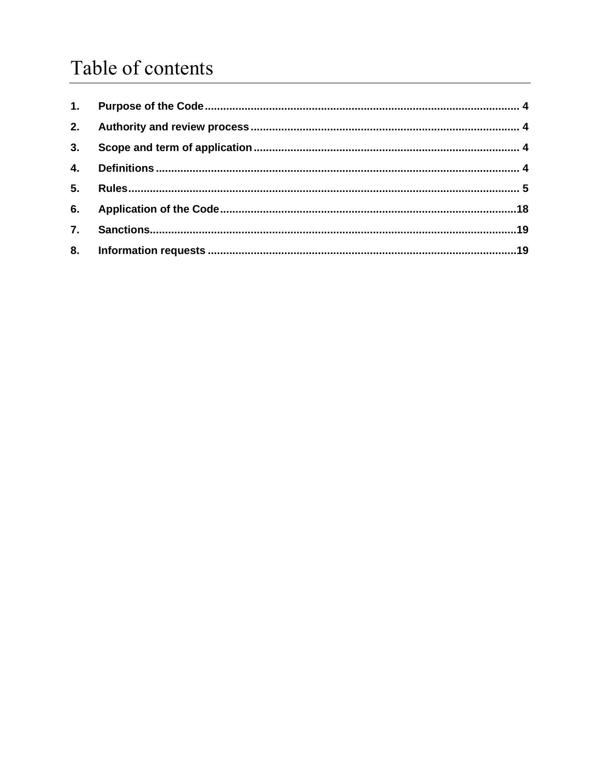# Table of contents

| 2.               |  |
|------------------|--|
| 3.               |  |
| 4.               |  |
| 5.               |  |
| 6.               |  |
| $\overline{7}$ . |  |
|                  |  |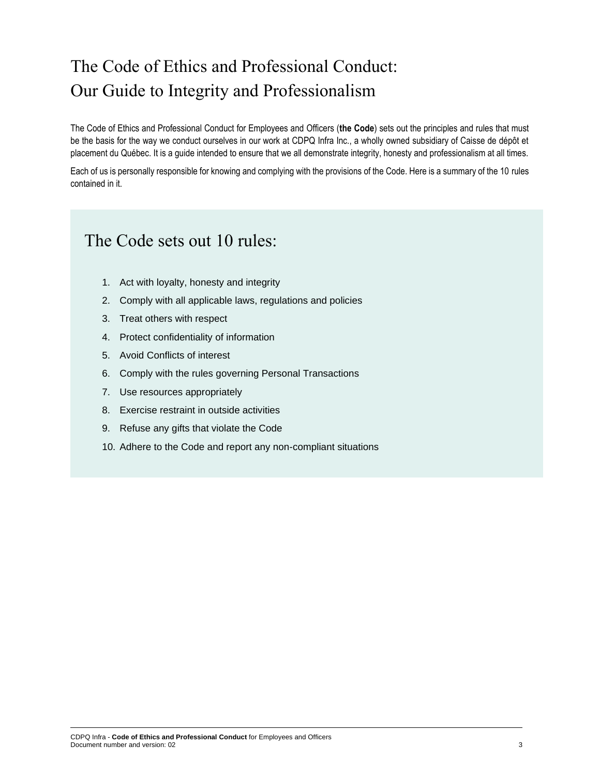# The Code of Ethics and Professional Conduct: Our Guide to Integrity and Professionalism

The Code of Ethics and Professional Conduct for Employees and Officers (**the Code**) sets out the principles and rules that must be the basis for the way we conduct ourselves in our work at CDPQ Infra Inc., a wholly owned subsidiary of Caisse de dépôt et placement du Québec. It is a guide intended to ensure that we all demonstrate integrity, honesty and professionalism at all times.

Each of us is personally responsible for knowing and complying with the provisions of the Code. Here is a summary of the 10 rules contained in it.

### The Code sets out 10 rules:

- 1. Act with loyalty, honesty and integrity
- 2. Comply with all applicable laws, regulations and policies
- 3. Treat others with respect
- 4. Protect confidentiality of information
- 5. Avoid Conflicts of interest
- 6. Comply with the rules governing Personal Transactions
- 7. Use resources appropriately
- 8. Exercise restraint in outside activities
- 9. Refuse any gifts that violate the Code
- 10. Adhere to the Code and report any non-compliant situations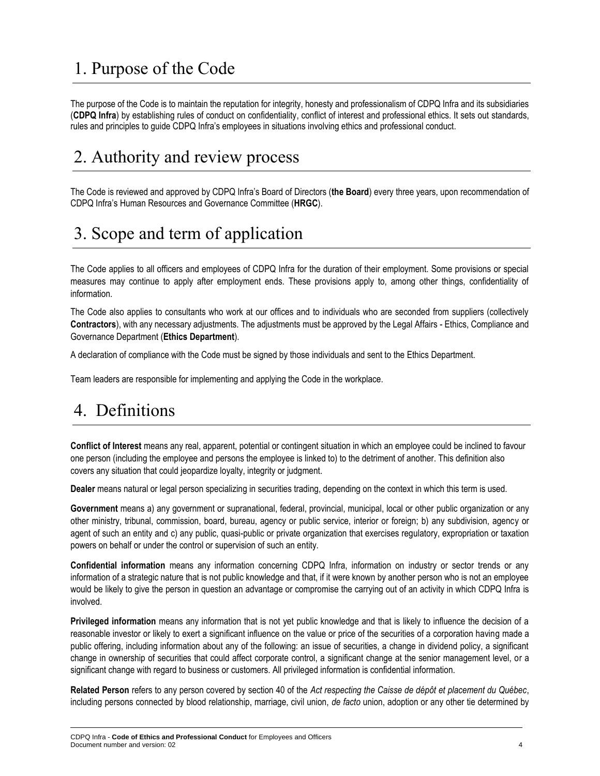# <span id="page-3-0"></span>1. Purpose of the Code

The purpose of the Code is to maintain the reputation for integrity, honesty and professionalism of CDPQ Infra and its subsidiaries (**CDPQ Infra**) by establishing rules of conduct on confidentiality, conflict of interest and professional ethics. It sets out standards, rules and principles to guide CDPQ Infra's employees in situations involving ethics and professional conduct.

# <span id="page-3-1"></span>2. Authority and review process

The Code is reviewed and approved by CDPQ Infra's Board of Directors (**the Board**) every three years, upon recommendation of CDPQ Infra's Human Resources and Governance Committee (**HRGC**).

# <span id="page-3-2"></span>3. Scope and term of application

The Code applies to all officers and employees of CDPQ Infra for the duration of their employment. Some provisions or special measures may continue to apply after employment ends. These provisions apply to, among other things, confidentiality of information.

The Code also applies to consultants who work at our offices and to individuals who are seconded from suppliers (collectively **Contractors**), with any necessary adjustments. The adjustments must be approved by the Legal Affairs - Ethics, Compliance and Governance Department (**Ethics Department**).

A declaration of compliance with the Code must be signed by those individuals and sent to the Ethics Department.

Team leaders are responsible for implementing and applying the Code in the workplace.

# <span id="page-3-3"></span>4. Definitions

**Conflict of Interest** means any real, apparent, potential or contingent situation in which an employee could be inclined to favour one person (including the employee and persons the employee is linked to) to the detriment of another. This definition also covers any situation that could jeopardize loyalty, integrity or judgment.

**Dealer** means natural or legal person specializing in securities trading, depending on the context in which this term is used.

**Government** means a) any government or supranational, federal, provincial, municipal, local or other public organization or any other ministry, tribunal, commission, board, bureau, agency or public service, interior or foreign; b) any subdivision, agency or agent of such an entity and c) any public, quasi-public or private organization that exercises regulatory, expropriation or taxation powers on behalf or under the control or supervision of such an entity.

**Confidential information** means any information concerning CDPQ Infra, information on industry or sector trends or any information of a strategic nature that is not public knowledge and that, if it were known by another person who is not an employee would be likely to give the person in question an advantage or compromise the carrying out of an activity in which CDPQ Infra is involved.

**Privileged information** means any information that is not yet public knowledge and that is likely to influence the decision of a reasonable investor or likely to exert a significant influence on the value or price of the securities of a corporation having made a public offering, including information about any of the following: an issue of securities, a change in dividend policy, a significant change in ownership of securities that could affect corporate control, a significant change at the senior management level, or a significant change with regard to business or customers. All privileged information is confidential information.

**Related Person** refers to any person covered by section 40 of the *Act respecting the Caisse de dépôt et placement du Québec*, including persons connected by blood relationship, marriage, civil union, *de facto* union, adoption or any other tie determined by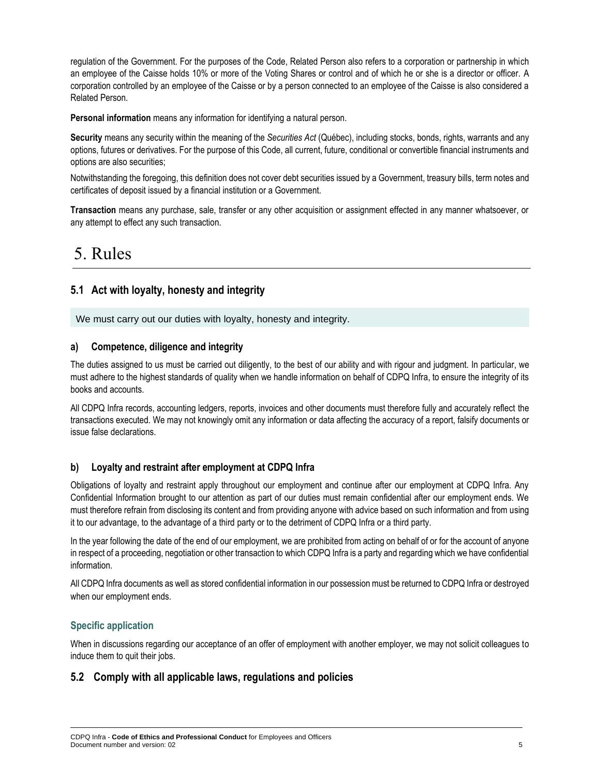regulation of the Government. For the purposes of the Code, Related Person also refers to a corporation or partnership in which an employee of the Caisse holds 10% or more of the Voting Shares or control and of which he or she is a director or officer. A corporation controlled by an employee of the Caisse or by a person connected to an employee of the Caisse is also considered a Related Person.

**Personal information** means any information for identifying a natural person.

**Security** means any security within the meaning of the *Securities Act* (Québec), including stocks, bonds, rights, warrants and any options, futures or derivatives. For the purpose of this Code, all current, future, conditional or convertible financial instruments and options are also securities;

Notwithstanding the foregoing, this definition does not cover debt securities issued by a Government, treasury bills, term notes and certificates of deposit issued by a financial institution or a Government.

**Transaction** means any purchase, sale, transfer or any other acquisition or assignment effected in any manner whatsoever, or any attempt to effect any such transaction.

### <span id="page-4-0"></span>5. Rules

### **5.1 Act with loyalty, honesty and integrity**

We must carry out our duties with loyalty, honesty and integrity.

#### **a) Competence, diligence and integrity**

The duties assigned to us must be carried out diligently, to the best of our ability and with rigour and judgment. In particular, we must adhere to the highest standards of quality when we handle information on behalf of CDPQ Infra, to ensure the integrity of its books and accounts.

All CDPQ Infra records, accounting ledgers, reports, invoices and other documents must therefore fully and accurately reflect the transactions executed. We may not knowingly omit any information or data affecting the accuracy of a report, falsify documents or issue false declarations.

#### **b) Loyalty and restraint after employment at CDPQ Infra**

Obligations of loyalty and restraint apply throughout our employment and continue after our employment at CDPQ Infra. Any Confidential Information brought to our attention as part of our duties must remain confidential after our employment ends. We must therefore refrain from disclosing its content and from providing anyone with advice based on such information and from using it to our advantage, to the advantage of a third party or to the detriment of CDPQ Infra or a third party.

In the year following the date of the end of our employment, we are prohibited from acting on behalf of or for the account of anyone in respect of a proceeding, negotiation or other transaction to which CDPQ Infra is a party and regarding which we have confidential information.

All CDPQ Infra documents as well as stored confidential information in our possession must be returned to CDPQ Infra or destroyed when our employment ends.

#### **Specific application**

When in discussions regarding our acceptance of an offer of employment with another employer, we may not solicit colleagues to induce them to quit their jobs.

#### **5.2 Comply with all applicable laws, regulations and policies**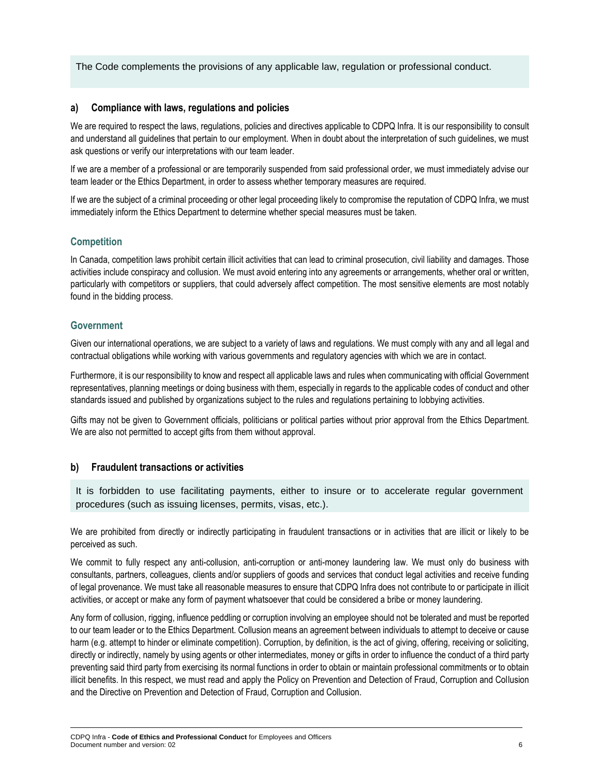The Code complements the provisions of any applicable law, regulation or professional conduct.

#### **a) Compliance with laws, regulations and policies**

We are required to respect the laws, regulations, policies and directives applicable to CDPQ Infra. It is our responsibility to consult and understand all guidelines that pertain to our employment. When in doubt about the interpretation of such guidelines, we must ask questions or verify our interpretations with our team leader.

If we are a member of a professional or are temporarily suspended from said professional order, we must immediately advise our team leader or the Ethics Department, in order to assess whether temporary measures are required.

If we are the subject of a criminal proceeding or other legal proceeding likely to compromise the reputation of CDPQ Infra, we must immediately inform the Ethics Department to determine whether special measures must be taken.

#### **Competition**

In Canada, competition laws prohibit certain illicit activities that can lead to criminal prosecution, civil liability and damages. Those activities include conspiracy and collusion. We must avoid entering into any agreements or arrangements, whether oral or written, particularly with competitors or suppliers, that could adversely affect competition. The most sensitive elements are most notably found in the bidding process.

#### **Government**

Given our international operations, we are subject to a variety of laws and regulations. We must comply with any and all legal and contractual obligations while working with various governments and regulatory agencies with which we are in contact.

Furthermore, it is our responsibility to know and respect all applicable laws and rules when communicating with official Government representatives, planning meetings or doing business with them, especially in regards to the applicable codes of conduct and other standards issued and published by organizations subject to the rules and regulations pertaining to lobbying activities.

Gifts may not be given to Government officials, politicians or political parties without prior approval from the Ethics Department. We are also not permitted to accept gifts from them without approval.

#### **b) Fraudulent transactions or activities**

It is forbidden to use facilitating payments, either to insure or to accelerate regular government procedures (such as issuing licenses, permits, visas, etc.).

We are prohibited from directly or indirectly participating in fraudulent transactions or in activities that are illicit or likely to be perceived as such.

We commit to fully respect any anti-collusion, anti-corruption or anti-money laundering law. We must only do business with consultants, partners, colleagues, clients and/or suppliers of goods and services that conduct legal activities and receive funding of legal provenance. We must take all reasonable measures to ensure that CDPQ Infra does not contribute to or participate in illicit activities, or accept or make any form of payment whatsoever that could be considered a bribe or money laundering.

Any form of collusion, rigging, influence peddling or corruption involving an employee should not be tolerated and must be reported to our team leader or to the Ethics Department. Collusion means an agreement between individuals to attempt to deceive or cause harm (e.g. attempt to hinder or eliminate competition). Corruption, by definition, is the act of giving, offering, receiving or soliciting, directly or indirectly, namely by using agents or other intermediates, money or gifts in order to influence the conduct of a third party preventing said third party from exercising its normal functions in order to obtain or maintain professional commitments or to obtain illicit benefits. In this respect, we must read and apply the Policy on Prevention and Detection of Fraud, Corruption and Collusion and the Directive on Prevention and Detection of Fraud, Corruption and Collusion.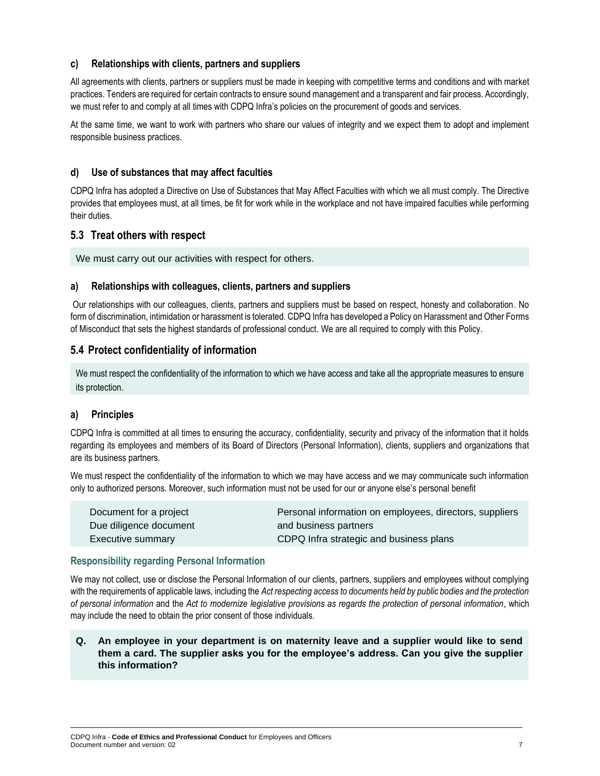#### **c) Relationships with clients, partners and suppliers**

All agreements with clients, partners or suppliers must be made in keeping with competitive terms and conditions and with market practices. Tenders are required for certain contracts to ensure sound management and a transparent and fair process. Accordingly, we must refer to and comply at all times with CDPQ Infra's policies on the procurement of goods and services.

At the same time, we want to work with partners who share our values of integrity and we expect them to adopt and implement responsible business practices.

#### **d) Use of substances that may affect faculties**

CDPQ Infra has adopted a Directive on Use of Substances that May Affect Faculties with which we all must comply. The Directive provides that employees must, at all times, be fit for work while in the workplace and not have impaired faculties while performing their duties.

#### **5.3 Treat others with respect**

We must carry out our activities with respect for others.

#### **a) Relationships with colleagues, clients, partners and suppliers**

Our relationships with our colleagues, clients, partners and suppliers must be based on respect, honesty and collaboration. No form of discrimination, intimidation or harassment is tolerated. CDPQ Infra has developed a Policy on Harassment and Other Forms of Misconduct that sets the highest standards of professional conduct. We are all required to comply with this Policy.

#### **5.4 Protect confidentiality of information**

We must respect the confidentiality of the information to which we have access and take all the appropriate measures to ensure its protection.

#### **a) Principles**

CDPQ Infra is committed at all times to ensuring the accuracy, confidentiality, security and privacy of the information that it holds regarding its employees and members of its Board of Directors (Personal Information), clients, suppliers and organizations that are its business partners.

We must respect the confidentiality of the information to which we may have access and we may communicate such information only to authorized persons. Moreover, such information must not be used for our or anyone else's personal benefit

| Document for a project | Personal information on employees, directors, suppliers |
|------------------------|---------------------------------------------------------|
| Due diligence document | and business partners                                   |
| Executive summary      | CDPQ Infra strategic and business plans                 |

#### **Responsibility regarding Personal Information**

We may not collect, use or disclose the Personal Information of our clients, partners, suppliers and employees without complying with the requirements of applicable laws, including the *Act respecting access to documents held by public bodies and the protection of personal information* and the *Act to modernize legislative provisions as regards the protection of personal information*, which may include the need to obtain the prior consent of those individuals.

**Q. An employee in your department is on maternity leave and a supplier would like to send them a card. The supplier asks you for the employee's address. Can you give the supplier this information?**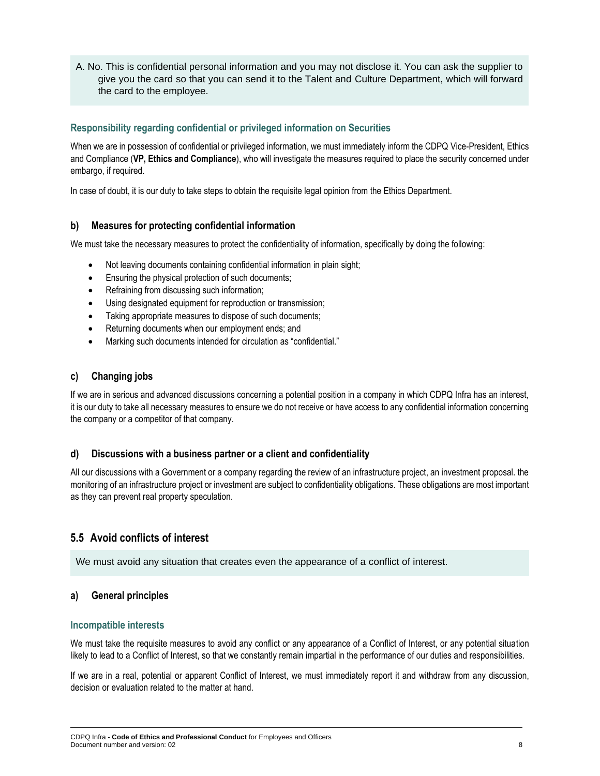A. No. This is confidential personal information and you may not disclose it. You can ask the supplier to give you the card so that you can send it to the Talent and Culture Department, which will forward the card to the employee.

#### **Responsibility regarding confidential or privileged information on Securities**

When we are in possession of confidential or privileged information, we must immediately inform the CDPQ Vice-President, Ethics and Compliance (**VP, Ethics and Compliance**), who will investigate the measures required to place the security concerned under embargo, if required.

In case of doubt, it is our duty to take steps to obtain the requisite legal opinion from the Ethics Department.

#### **b) Measures for protecting confidential information**

We must take the necessary measures to protect the confidentiality of information, specifically by doing the following:

- Not leaving documents containing confidential information in plain sight;
- Ensuring the physical protection of such documents;
- Refraining from discussing such information;
- Using designated equipment for reproduction or transmission;
- Taking appropriate measures to dispose of such documents;
- Returning documents when our employment ends; and
- Marking such documents intended for circulation as "confidential."

#### **c) Changing jobs**

If we are in serious and advanced discussions concerning a potential position in a company in which CDPQ Infra has an interest, it is our duty to take all necessary measures to ensure we do not receive or have access to any confidential information concerning the company or a competitor of that company.

#### **d) Discussions with a business partner or a client and confidentiality**

All our discussions with a Government or a company regarding the review of an infrastructure project, an investment proposal. the monitoring of an infrastructure project or investment are subject to confidentiality obligations. These obligations are most important as they can prevent real property speculation.

#### **5.5 Avoid conflicts of interest**

We must avoid any situation that creates even the appearance of a conflict of interest.

#### **a) General principles**

#### **Incompatible interests**

We must take the requisite measures to avoid any conflict or any appearance of a Conflict of Interest, or any potential situation likely to lead to a Conflict of Interest, so that we constantly remain impartial in the performance of our duties and responsibilities.

If we are in a real, potential or apparent Conflict of Interest, we must immediately report it and withdraw from any discussion, decision or evaluation related to the matter at hand.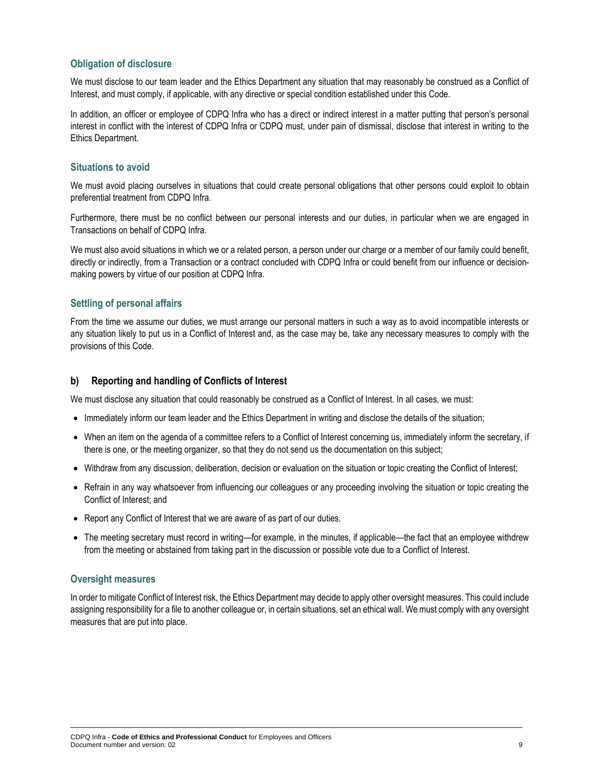#### **Obligation of disclosure**

We must disclose to our team leader and the Ethics Department any situation that may reasonably be construed as a Conflict of Interest, and must comply, if applicable, with any directive or special condition established under this Code.

In addition, an officer or employee of CDPQ Infra who has a direct or indirect interest in a matter putting that person's personal interest in conflict with the interest of CDPQ Infra or CDPQ must, under pain of dismissal, disclose that interest in writing to the Ethics Department.

#### **Situations to avoid**

We must avoid placing ourselves in situations that could create personal obligations that other persons could exploit to obtain preferential treatment from CDPQ Infra.

Furthermore, there must be no conflict between our personal interests and our duties, in particular when we are engaged in Transactions on behalf of CDPQ Infra.

We must also avoid situations in which we or a related person, a person under our charge or a member of our family could benefit, directly or indirectly, from a Transaction or a contract concluded with CDPQ Infra or could benefit from our influence or decisionmaking powers by virtue of our position at CDPQ Infra.

#### **Settling of personal affairs**

From the time we assume our duties, we must arrange our personal matters in such a way as to avoid incompatible interests or any situation likely to put us in a Conflict of Interest and, as the case may be, take any necessary measures to comply with the provisions of this Code.

#### **b) Reporting and handling of Conflicts of Interest**

We must disclose any situation that could reasonably be construed as a Conflict of Interest. In all cases, we must:

- Immediately inform our team leader and the Ethics Department in writing and disclose the details of the situation;
- When an item on the agenda of a committee refers to a Conflict of Interest concerning us, immediately inform the secretary, if there is one, or the meeting organizer, so that they do not send us the documentation on this subject;
- Withdraw from any discussion, deliberation, decision or evaluation on the situation or topic creating the Conflict of Interest;
- Refrain in any way whatsoever from influencing our colleagues or any proceeding involving the situation or topic creating the Conflict of Interest; and
- Report any Conflict of Interest that we are aware of as part of our duties.
- The meeting secretary must record in writing—for example, in the minutes, if applicable—the fact that an employee withdrew from the meeting or abstained from taking part in the discussion or possible vote due to a Conflict of Interest.

#### **Oversight measures**

In order to mitigate Conflict of Interest risk, the Ethics Department may decide to apply other oversight measures. This could include assigning responsibility for a file to another colleague or, in certain situations, set an ethical wall. We must comply with any oversight measures that are put into place.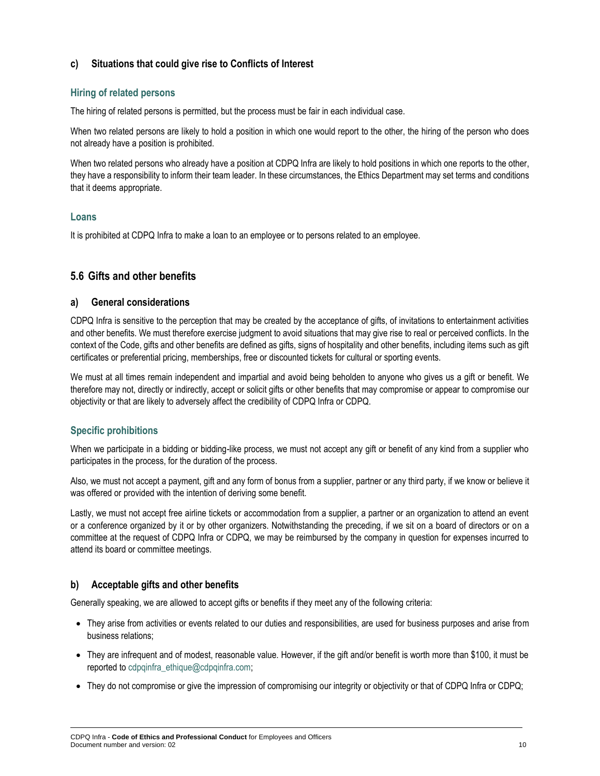#### **c) Situations that could give rise to Conflicts of Interest**

#### **Hiring of related persons**

The hiring of related persons is permitted, but the process must be fair in each individual case.

When two related persons are likely to hold a position in which one would report to the other, the hiring of the person who does not already have a position is prohibited.

When two related persons who already have a position at CDPQ Infra are likely to hold positions in which one reports to the other, they have a responsibility to inform their team leader. In these circumstances, the Ethics Department may set terms and conditions that it deems appropriate.

#### **Loans**

It is prohibited at CDPQ Infra to make a loan to an employee or to persons related to an employee.

#### **5.6 Gifts and other benefits**

#### **a) General considerations**

CDPQ Infra is sensitive to the perception that may be created by the acceptance of gifts, of invitations to entertainment activities and other benefits. We must therefore exercise judgment to avoid situations that may give rise to real or perceived conflicts. In the context of the Code, gifts and other benefits are defined as gifts, signs of hospitality and other benefits, including items such as gift certificates or preferential pricing, memberships, free or discounted tickets for cultural or sporting events.

We must at all times remain independent and impartial and avoid being beholden to anyone who gives us a gift or benefit. We therefore may not, directly or indirectly, accept or solicit gifts or other benefits that may compromise or appear to compromise our objectivity or that are likely to adversely affect the credibility of CDPQ Infra or CDPQ.

#### **Specific prohibitions**

When we participate in a bidding or bidding-like process, we must not accept any gift or benefit of any kind from a supplier who participates in the process, for the duration of the process.

Also, we must not accept a payment, gift and any form of bonus from a supplier, partner or any third party, if we know or believe it was offered or provided with the intention of deriving some benefit.

Lastly, we must not accept free airline tickets or accommodation from a supplier, a partner or an organization to attend an event or a conference organized by it or by other organizers. Notwithstanding the preceding, if we sit on a board of directors or on a committee at the request of CDPQ Infra or CDPQ, we may be reimbursed by the company in question for expenses incurred to attend its board or committee meetings.

#### **b) Acceptable gifts and other benefits**

Generally speaking, we are allowed to accept gifts or benefits if they meet any of the following criteria:

- They arise from activities or events related to our duties and responsibilities, are used for business purposes and arise from business relations;
- They are infrequent and of modest, reasonable value. However, if the gift and/or benefit is worth more than \$100, it must be reported to cdpqinfra\_ethique@cdpqinfra.com;
- They do not compromise or give the impression of compromising our integrity or objectivity or that of CDPQ Infra or CDPQ;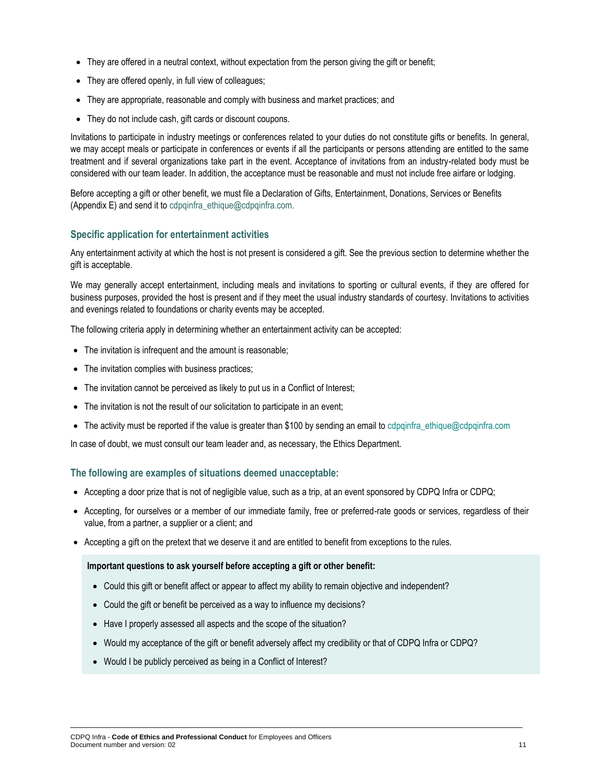- They are offered in a neutral context, without expectation from the person giving the gift or benefit;
- They are offered openly, in full view of colleagues;
- They are appropriate, reasonable and comply with business and market practices; and
- They do not include cash, gift cards or discount coupons.

Invitations to participate in industry meetings or conferences related to your duties do not constitute gifts or benefits. In general, we may accept meals or participate in conferences or events if all the participants or persons attending are entitled to the same treatment and if several organizations take part in the event. Acceptance of invitations from an industry-related body must be considered with our team leader. In addition, the acceptance must be reasonable and must not include free airfare or lodging.

Before accepting a gift or other benefit, we must file a Declaration of Gifts, Entertainment, Donations, Services or Benefits (Appendix E) and send it to [cdpqinfra\\_ethique@cdpqinfra.com.](mailto:cdpqinfra_ethique@cdpqinfra.com)

#### **Specific application for entertainment activities**

Any entertainment activity at which the host is not present is considered a gift. See the previous section to determine whether the gift is acceptable.

We may generally accept entertainment, including meals and invitations to sporting or cultural events, if they are offered for business purposes, provided the host is present and if they meet the usual industry standards of courtesy. Invitations to activities and evenings related to foundations or charity events may be accepted.

The following criteria apply in determining whether an entertainment activity can be accepted:

- The invitation is infrequent and the amount is reasonable;
- The invitation complies with business practices;
- The invitation cannot be perceived as likely to put us in a Conflict of Interest;
- The invitation is not the result of our solicitation to participate in an event;
- The activity must be reported if the value is greater than \$100 by sending an email to [cdpqinfra\\_ethique@cdpqinfra.com](mailto:cdpqinfra_ethique@cdpqinfra.com)

In case of doubt, we must consult our team leader and, as necessary, the Ethics Department.

#### **The following are examples of situations deemed unacceptable:**

- Accepting a door prize that is not of negligible value, such as a trip, at an event sponsored by CDPQ Infra or CDPQ;
- Accepting, for ourselves or a member of our immediate family, free or preferred-rate goods or services, regardless of their value, from a partner, a supplier or a client; and
- Accepting a gift on the pretext that we deserve it and are entitled to benefit from exceptions to the rules.

#### **Important questions to ask yourself before accepting a gift or other benefit:**

- Could this gift or benefit affect or appear to affect my ability to remain objective and independent?
- Could the gift or benefit be perceived as a way to influence my decisions?
- Have I properly assessed all aspects and the scope of the situation?
- Would my acceptance of the gift or benefit adversely affect my credibility or that of CDPQ Infra or CDPQ?
- Would I be publicly perceived as being in a Conflict of Interest?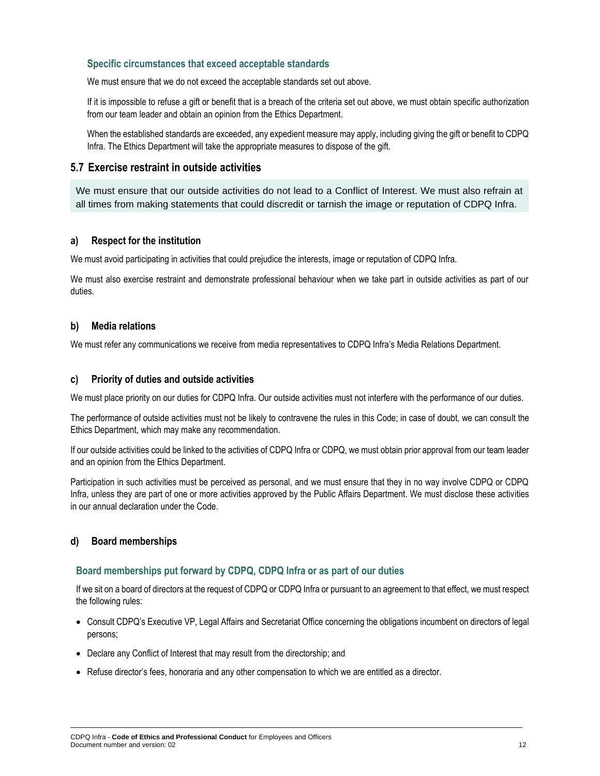#### **Specific circumstances that exceed acceptable standards**

We must ensure that we do not exceed the acceptable standards set out above.

If it is impossible to refuse a gift or benefit that is a breach of the criteria set out above, we must obtain specific authorization from our team leader and obtain an opinion from the Ethics Department.

When the established standards are exceeded, any expedient measure may apply, including giving the gift or benefit to CDPQ Infra. The Ethics Department will take the appropriate measures to dispose of the gift.

#### **5.7 Exercise restraint in outside activities**

We must ensure that our outside activities do not lead to a Conflict of Interest. We must also refrain at all times from making statements that could discredit or tarnish the image or reputation of CDPQ Infra.

#### **a) Respect for the institution**

We must avoid participating in activities that could prejudice the interests, image or reputation of CDPQ Infra.

We must also exercise restraint and demonstrate professional behaviour when we take part in outside activities as part of our duties.

#### **b) Media relations**

We must refer any communications we receive from media representatives to CDPQ Infra's Media Relations Department.

#### **c) Priority of duties and outside activities**

We must place priority on our duties for CDPQ Infra. Our outside activities must not interfere with the performance of our duties.

The performance of outside activities must not be likely to contravene the rules in this Code; in case of doubt, we can consult the Ethics Department, which may make any recommendation.

If our outside activities could be linked to the activities of CDPQ Infra or CDPQ, we must obtain prior approval from our team leader and an opinion from the Ethics Department.

Participation in such activities must be perceived as personal, and we must ensure that they in no way involve CDPQ or CDPQ Infra, unless they are part of one or more activities approved by the Public Affairs Department. We must disclose these activities in our annual declaration under the Code.

#### **d) Board memberships**

#### **Board memberships put forward by CDPQ, CDPQ Infra or as part of our duties**

If we sit on a board of directors at the request of CDPQ or CDPQ Infra or pursuant to an agreement to that effect, we must respect the following rules:

- Consult CDPQ's Executive VP, Legal Affairs and Secretariat Office concerning the obligations incumbent on directors of legal persons;
- Declare any Conflict of Interest that may result from the directorship; and
- Refuse director's fees, honoraria and any other compensation to which we are entitled as a director.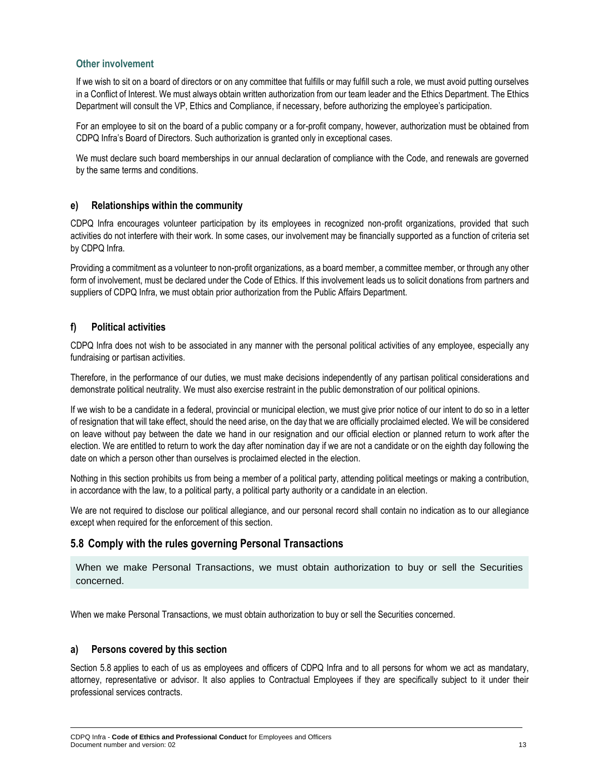#### **Other involvement**

If we wish to sit on a board of directors or on any committee that fulfills or may fulfill such a role, we must avoid putting ourselves in a Conflict of Interest. We must always obtain written authorization from our team leader and the Ethics Department. The Ethics Department will consult the VP, Ethics and Compliance, if necessary, before authorizing the employee's participation.

For an employee to sit on the board of a public company or a for-profit company, however, authorization must be obtained from CDPQ Infra's Board of Directors. Such authorization is granted only in exceptional cases.

We must declare such board memberships in our annual declaration of compliance with the Code, and renewals are governed by the same terms and conditions.

#### **e) Relationships within the community**

CDPQ Infra encourages volunteer participation by its employees in recognized non-profit organizations, provided that such activities do not interfere with their work. In some cases, our involvement may be financially supported as a function of criteria set by CDPQ Infra.

Providing a commitment as a volunteer to non-profit organizations, as a board member, a committee member, or through any other form of involvement, must be declared under the Code of Ethics. If this involvement leads us to solicit donations from partners and suppliers of CDPQ Infra, we must obtain prior authorization from the Public Affairs Department.

#### **f) Political activities**

CDPQ Infra does not wish to be associated in any manner with the personal political activities of any employee, especially any fundraising or partisan activities.

Therefore, in the performance of our duties, we must make decisions independently of any partisan political considerations and demonstrate political neutrality. We must also exercise restraint in the public demonstration of our political opinions.

If we wish to be a candidate in a federal, provincial or municipal election, we must give prior notice of our intent to do so in a letter of resignation that will take effect, should the need arise, on the day that we are officially proclaimed elected. We will be considered on leave without pay between the date we hand in our resignation and our official election or planned return to work after the election. We are entitled to return to work the day after nomination day if we are not a candidate or on the eighth day following the date on which a person other than ourselves is proclaimed elected in the election.

Nothing in this section prohibits us from being a member of a political party, attending political meetings or making a contribution, in accordance with the law, to a political party, a political party authority or a candidate in an election.

We are not required to disclose our political allegiance, and our personal record shall contain no indication as to our allegiance except when required for the enforcement of this section.

### **5.8 Comply with the rules governing Personal Transactions**

When we make Personal Transactions, we must obtain authorization to buy or sell the Securities concerned.

When we make Personal Transactions, we must obtain authorization to buy or sell the Securities concerned.

#### **a) Persons covered by this section**

Section 5.8 applies to each of us as employees and officers of CDPQ Infra and to all persons for whom we act as mandatary, attorney, representative or advisor. It also applies to Contractual Employees if they are specifically subject to it under their professional services contracts.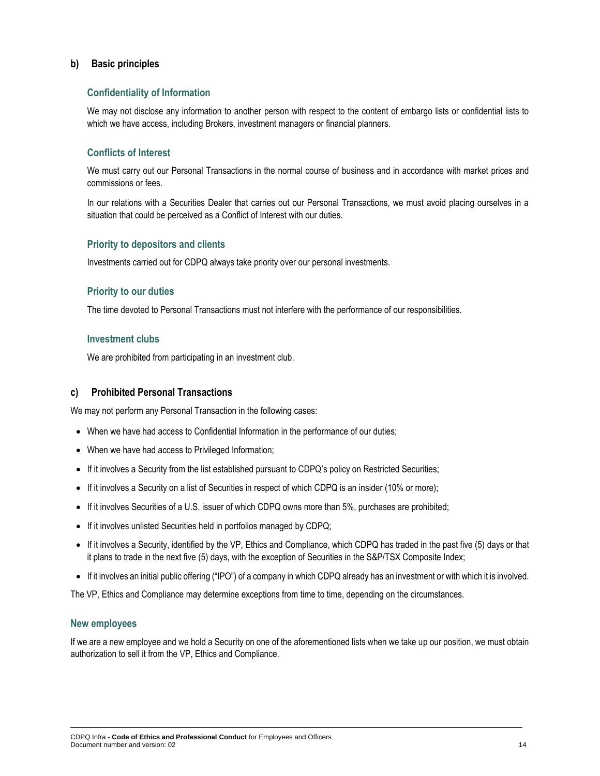#### **b) Basic principles**

#### **Confidentiality of Information**

We may not disclose any information to another person with respect to the content of embargo lists or confidential lists to which we have access, including Brokers, investment managers or financial planners.

#### **Conflicts of Interest**

We must carry out our Personal Transactions in the normal course of business and in accordance with market prices and commissions or fees.

In our relations with a Securities Dealer that carries out our Personal Transactions, we must avoid placing ourselves in a situation that could be perceived as a Conflict of Interest with our duties.

#### **Priority to depositors and clients**

Investments carried out for CDPQ always take priority over our personal investments.

#### **Priority to our duties**

The time devoted to Personal Transactions must not interfere with the performance of our responsibilities.

#### **Investment clubs**

We are prohibited from participating in an investment club.

#### **c) Prohibited Personal Transactions**

We may not perform any Personal Transaction in the following cases:

- When we have had access to Confidential Information in the performance of our duties;
- When we have had access to Privileged Information;
- If it involves a Security from the list established pursuant to CDPQ's policy on Restricted Securities;
- If it involves a Security on a list of Securities in respect of which CDPQ is an insider (10% or more);
- If it involves Securities of a U.S. issuer of which CDPQ owns more than 5%, purchases are prohibited;
- If it involves unlisted Securities held in portfolios managed by CDPQ;
- If it involves a Security, identified by the VP, Ethics and Compliance, which CDPQ has traded in the past five (5) days or that it plans to trade in the next five (5) days, with the exception of Securities in the S&P/TSX Composite Index;
- If it involves an initial public offering ("IPO") of a company in which CDPQ already has an investment or with which it is involved.

The VP, Ethics and Compliance may determine exceptions from time to time, depending on the circumstances.

#### **New employees**

If we are a new employee and we hold a Security on one of the aforementioned lists when we take up our position, we must obtain authorization to sell it from the VP, Ethics and Compliance.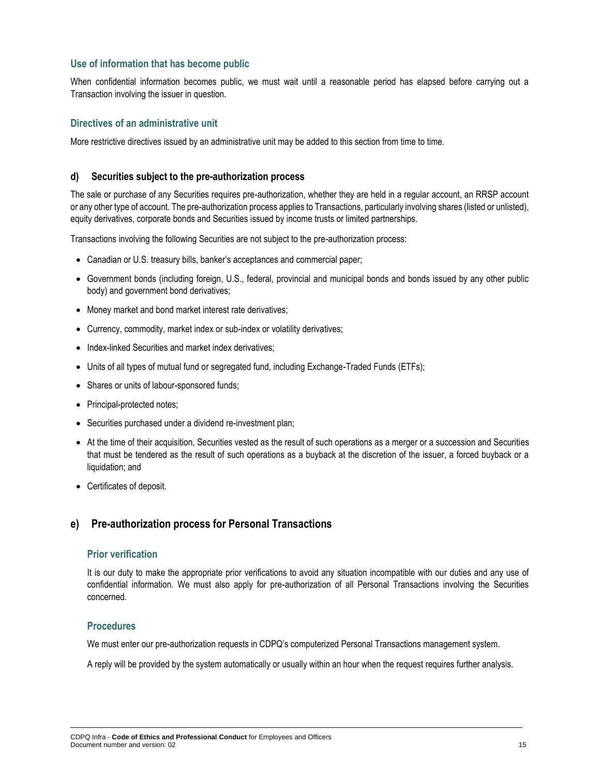#### **Use of information that has become public**

When confidential information becomes public, we must wait until a reasonable period has elapsed before carrying out a Transaction involving the issuer in question.

#### **Directives of an administrative unit**

More restrictive directives issued by an administrative unit may be added to this section from time to time.

#### **d) Securities subject to the pre-authorization process**

The sale or purchase of any Securities requires pre-authorization, whether they are held in a regular account, an RRSP account or any other type of account. The pre-authorization process applies to Transactions, particularly involving shares (listed or unlisted), equity derivatives, corporate bonds and Securities issued by income trusts or limited partnerships.

Transactions involving the following Securities are not subject to the pre-authorization process:

- Canadian or U.S. treasury bills, banker's acceptances and commercial paper;
- Government bonds (including foreign, U.S., federal, provincial and municipal bonds and bonds issued by any other public body) and government bond derivatives;
- Money market and bond market interest rate derivatives;
- Currency, commodity, market index or sub-index or volatility derivatives;
- Index-linked Securities and market index derivatives:
- Units of all types of mutual fund or segregated fund, including Exchange-Traded Funds (ETFs);
- Shares or units of labour-sponsored funds;
- Principal-protected notes;
- Securities purchased under a dividend re-investment plan;
- At the time of their acquisition, Securities vested as the result of such operations as a merger or a succession and Securities that must be tendered as the result of such operations as a buyback at the discretion of the issuer, a forced buyback or a liquidation; and
- Certificates of deposit.

#### **e) Pre-authorization process for Personal Transactions**

#### **Prior verification**

It is our duty to make the appropriate prior verifications to avoid any situation incompatible with our duties and any use of confidential information. We must also apply for pre-authorization of all Personal Transactions involving the Securities concerned.

#### **Procedures**

We must enter our pre-authorization requests in CDPQ's computerized Personal Transactions management system.

A reply will be provided by the system automatically or usually within an hour when the request requires further analysis.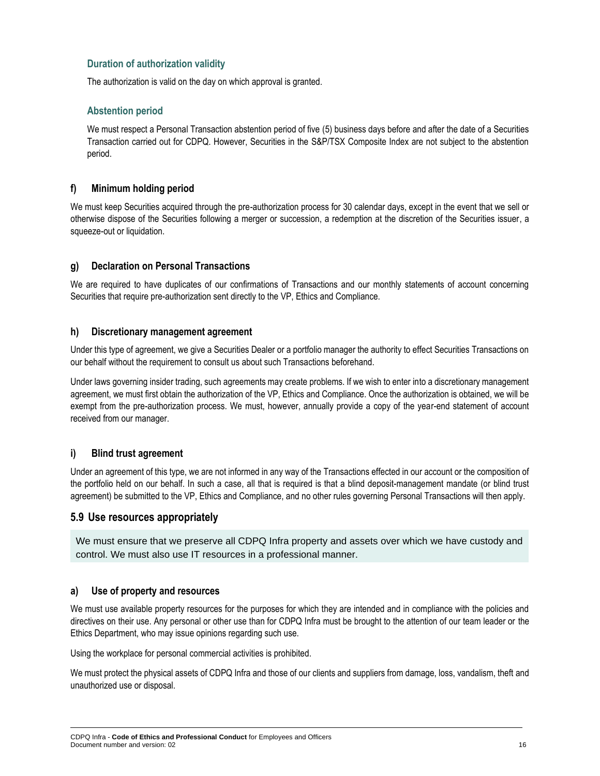#### **Duration of authorization validity**

The authorization is valid on the day on which approval is granted.

#### **Abstention period**

We must respect a Personal Transaction abstention period of five (5) business days before and after the date of a Securities Transaction carried out for CDPQ. However, Securities in the S&P/TSX Composite Index are not subject to the abstention period.

#### **f) Minimum holding period**

We must keep Securities acquired through the pre-authorization process for 30 calendar days, except in the event that we sell or otherwise dispose of the Securities following a merger or succession, a redemption at the discretion of the Securities issuer, a squeeze-out or liquidation.

#### **g) Declaration on Personal Transactions**

We are required to have duplicates of our confirmations of Transactions and our monthly statements of account concerning Securities that require pre-authorization sent directly to the VP, Ethics and Compliance.

#### **h) Discretionary management agreement**

Under this type of agreement, we give a Securities Dealer or a portfolio manager the authority to effect Securities Transactions on our behalf without the requirement to consult us about such Transactions beforehand.

Under laws governing insider trading, such agreements may create problems. If we wish to enter into a discretionary management agreement, we must first obtain the authorization of the VP, Ethics and Compliance. Once the authorization is obtained, we will be exempt from the pre-authorization process. We must, however, annually provide a copy of the year-end statement of account received from our manager.

#### **i) Blind trust agreement**

Under an agreement of this type, we are not informed in any way of the Transactions effected in our account or the composition of the portfolio held on our behalf. In such a case, all that is required is that a blind deposit-management mandate (or blind trust agreement) be submitted to the VP, Ethics and Compliance, and no other rules governing Personal Transactions will then apply.

#### **5.9 Use resources appropriately**

We must ensure that we preserve all CDPQ Infra property and assets over which we have custody and control. We must also use IT resources in a professional manner.

#### **a) Use of property and resources**

We must use available property resources for the purposes for which they are intended and in compliance with the policies and directives on their use. Any personal or other use than for CDPQ Infra must be brought to the attention of our team leader or the Ethics Department, who may issue opinions regarding such use.

Using the workplace for personal commercial activities is prohibited.

We must protect the physical assets of CDPQ Infra and those of our clients and suppliers from damage, loss, vandalism, theft and unauthorized use or disposal.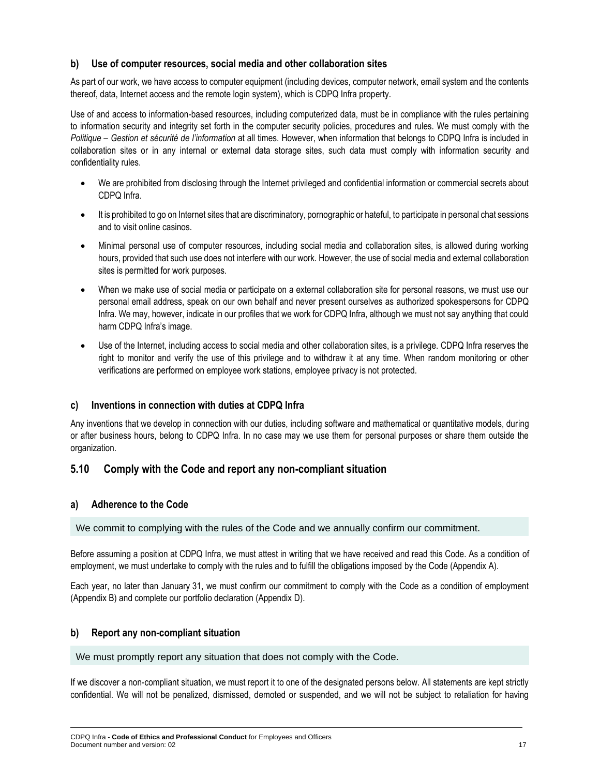#### **b) Use of computer resources, social media and other collaboration sites**

As part of our work, we have access to computer equipment (including devices, computer network, email system and the contents thereof, data, Internet access and the remote login system), which is CDPQ Infra property.

Use of and access to information-based resources, including computerized data, must be in compliance with the rules pertaining to information security and integrity set forth in the computer security policies, procedures and rules. We must comply with the *Politique – Gestion et sécurité de l'information* at all times. However, when information that belongs to CDPQ Infra is included in collaboration sites or in any internal or external data storage sites, such data must comply with information security and confidentiality rules.

- We are prohibited from disclosing through the Internet privileged and confidential information or commercial secrets about CDPQ Infra.
- It is prohibited to go on Internet sites that are discriminatory, pornographic or hateful, to participate in personal chat sessions and to visit online casinos.
- Minimal personal use of computer resources, including social media and collaboration sites, is allowed during working hours, provided that such use does not interfere with our work. However, the use of social media and external collaboration sites is permitted for work purposes.
- When we make use of social media or participate on a external collaboration site for personal reasons, we must use our personal email address, speak on our own behalf and never present ourselves as authorized spokespersons for CDPQ Infra. We may, however, indicate in our profiles that we work for CDPQ Infra, although we must not say anything that could harm CDPQ Infra's image.
- Use of the Internet, including access to social media and other collaboration sites, is a privilege. CDPQ Infra reserves the right to monitor and verify the use of this privilege and to withdraw it at any time. When random monitoring or other verifications are performed on employee work stations, employee privacy is not protected.

#### **c) Inventions in connection with duties at CDPQ Infra**

Any inventions that we develop in connection with our duties, including software and mathematical or quantitative models, during or after business hours, belong to CDPQ Infra. In no case may we use them for personal purposes or share them outside the organization.

#### **5.10 Comply with the Code and report any non-compliant situation**

#### **a) Adherence to the Code**

We commit to complying with the rules of the Code and we annually confirm our commitment.

Before assuming a position at CDPQ Infra, we must attest in writing that we have received and read this Code. As a condition of employment, we must undertake to comply with the rules and to fulfill the obligations imposed by the Code (Appendix A).

Each year, no later than January 31, we must confirm our commitment to comply with the Code as a condition of employment (Appendix B) and complete our portfolio declaration (Appendix D).

#### **b) Report any non-compliant situation**

We must promptly report any situation that does not comply with the Code.

If we discover a non-compliant situation, we must report it to one of the designated persons below. All statements are kept strictly confidential. We will not be penalized, dismissed, demoted or suspended, and we will not be subject to retaliation for having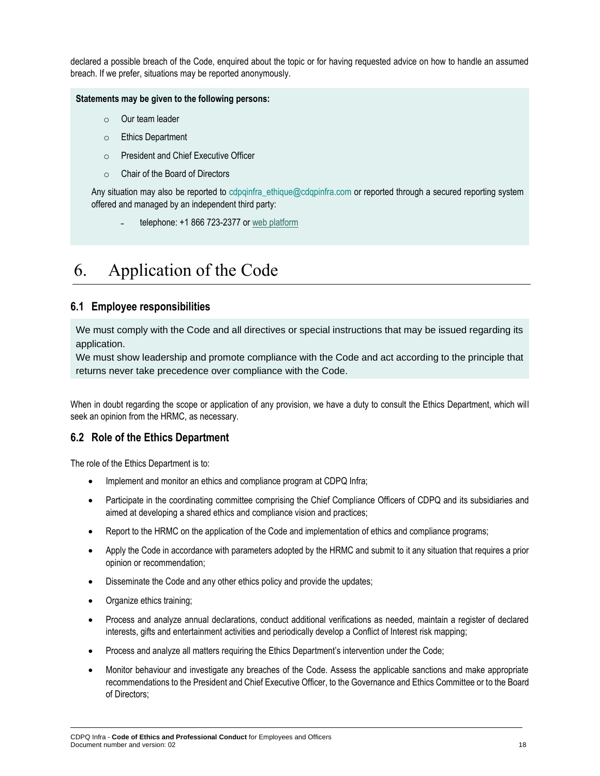declared a possible breach of the Code, enquired about the topic or for having requested advice on how to handle an assumed breach. If we prefer, situations may be reported anonymously.

#### **Statements may be given to the following persons:**

- o Our team leader
- o Ethics Department
- o President and Chief Executive Officer
- o Chair of the Board of Directors

Any situation may also be reported to cdpqinfra ethique@cdqpinfra.com or reported through a secured reporting system offered and managed by an independent third party:

<span id="page-17-0"></span>telephone: +1 866 723-2377 o[r web platform](https://www.clearviewconnects.com/#/)

# 6. Application of the Code

#### **6.1 Employee responsibilities**

We must comply with the Code and all directives or special instructions that may be issued regarding its application.

We must show leadership and promote compliance with the Code and act according to the principle that returns never take precedence over compliance with the Code.

When in doubt regarding the scope or application of any provision, we have a duty to consult the Ethics Department, which will seek an opinion from the HRMC, as necessary.

#### **6.2 Role of the Ethics Department**

The role of the Ethics Department is to:

- Implement and monitor an ethics and compliance program at CDPQ Infra;
- Participate in the coordinating committee comprising the Chief Compliance Officers of CDPQ and its subsidiaries and aimed at developing a shared ethics and compliance vision and practices;
- Report to the HRMC on the application of the Code and implementation of ethics and compliance programs;
- Apply the Code in accordance with parameters adopted by the HRMC and submit to it any situation that requires a prior opinion or recommendation;
- Disseminate the Code and any other ethics policy and provide the updates;
- Organize ethics training;
- Process and analyze annual declarations, conduct additional verifications as needed, maintain a register of declared interests, gifts and entertainment activities and periodically develop a Conflict of Interest risk mapping;
- Process and analyze all matters requiring the Ethics Department's intervention under the Code;
- Monitor behaviour and investigate any breaches of the Code. Assess the applicable sanctions and make appropriate recommendations to the President and Chief Executive Officer, to the Governance and Ethics Committee or to the Board of Directors;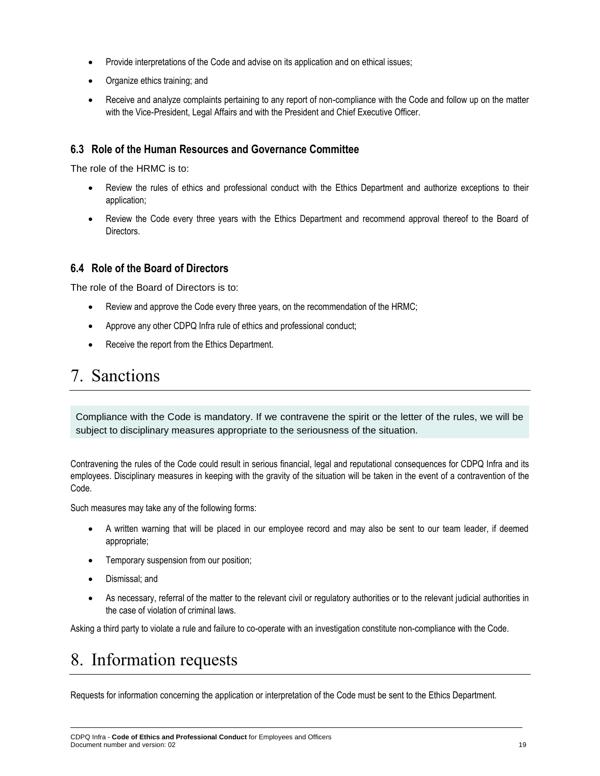- Provide interpretations of the Code and advise on its application and on ethical issues;
- Organize ethics training; and
- Receive and analyze complaints pertaining to any report of non-compliance with the Code and follow up on the matter with the Vice-President, Legal Affairs and with the President and Chief Executive Officer.

### **6.3 Role of the Human Resources and Governance Committee**

The role of the HRMC is to:

- Review the rules of ethics and professional conduct with the Ethics Department and authorize exceptions to their application;
- Review the Code every three years with the Ethics Department and recommend approval thereof to the Board of **Directors**

#### **6.4 Role of the Board of Directors**

The role of the Board of Directors is to:

- Review and approve the Code every three years, on the recommendation of the HRMC;
- Approve any other CDPQ Infra rule of ethics and professional conduct;
- Receive the report from the Ethics Department.

### <span id="page-18-0"></span>7. Sanctions

Compliance with the Code is mandatory. If we contravene the spirit or the letter of the rules, we will be subject to disciplinary measures appropriate to the seriousness of the situation.

Contravening the rules of the Code could result in serious financial, legal and reputational consequences for CDPQ Infra and its employees. Disciplinary measures in keeping with the gravity of the situation will be taken in the event of a contravention of the Code.

Such measures may take any of the following forms:

- A written warning that will be placed in our employee record and may also be sent to our team leader, if deemed appropriate;
- Temporary suspension from our position;
- Dismissal; and
- As necessary, referral of the matter to the relevant civil or regulatory authorities or to the relevant judicial authorities in the case of violation of criminal laws.

Asking a third party to violate a rule and failure to co-operate with an investigation constitute non-compliance with the Code.

# <span id="page-18-1"></span>8. Information requests

Requests for information concerning the application or interpretation of the Code must be sent to the Ethics Department.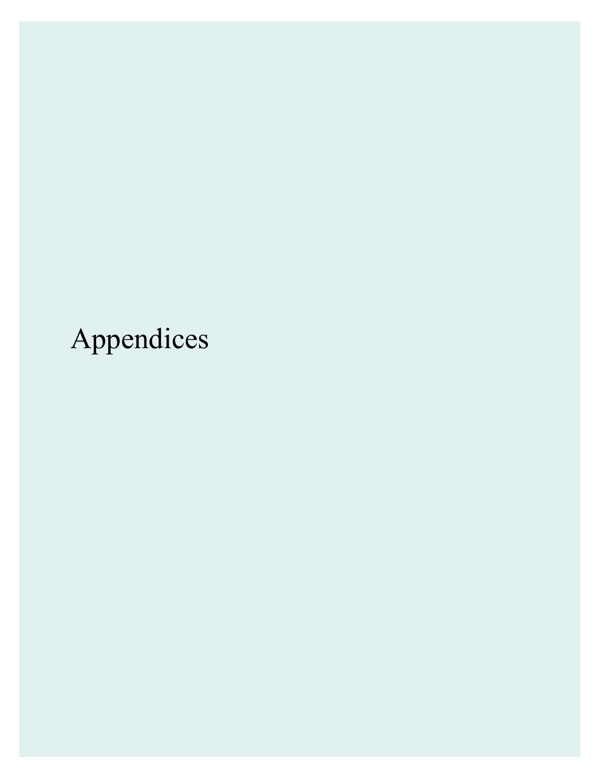Appendices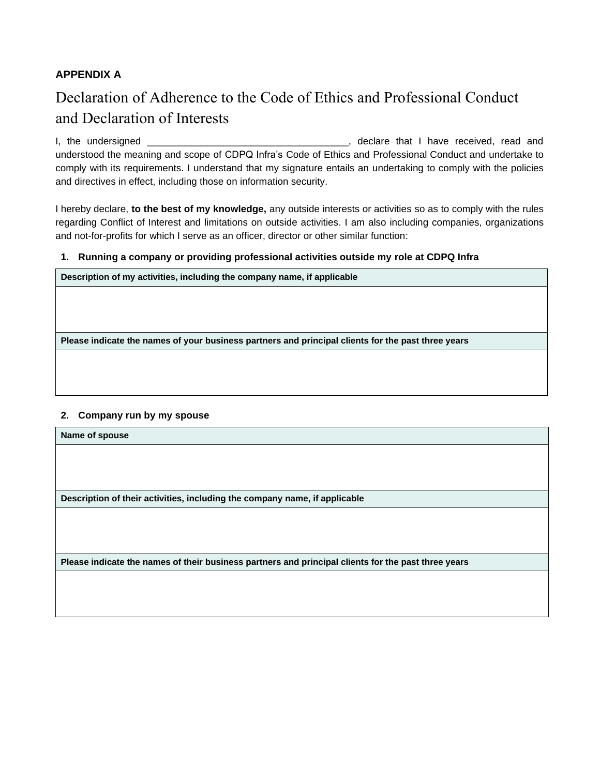### **APPENDIX A**

### Declaration of Adherence to the Code of Ethics and Professional Conduct and Declaration of Interests

I, the undersigned \_\_\_\_\_\_\_\_\_\_\_\_\_\_\_\_\_\_\_\_\_\_\_\_\_\_\_\_\_\_\_\_\_\_\_\_\_, declare that I have received, read and understood the meaning and scope of CDPQ Infra's Code of Ethics and Professional Conduct and undertake to comply with its requirements. I understand that my signature entails an undertaking to comply with the policies and directives in effect, including those on information security.

I hereby declare, **to the best of my knowledge,** any outside interests or activities so as to comply with the rules regarding Conflict of Interest and limitations on outside activities. I am also including companies, organizations and not-for-profits for which I serve as an officer, director or other similar function:

#### **1. Running a company or providing professional activities outside my role at CDPQ Infra**

**Description of my activities, including the company name, if applicable**

**Please indicate the names of your business partners and principal clients for the past three years**

#### **2. Company run by my spouse**

**Name of spouse**

**Description of their activities, including the company name, if applicable** 

**Please indicate the names of their business partners and principal clients for the past three years**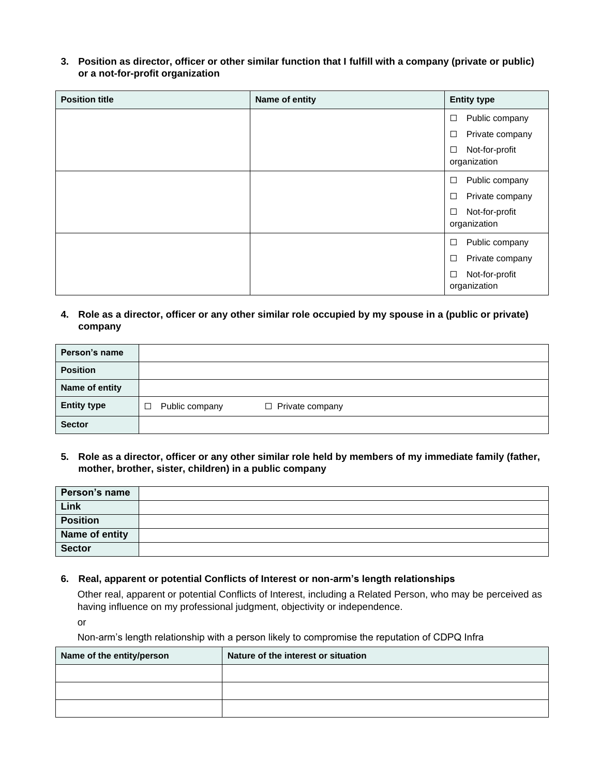**3. Position as director, officer or other similar function that I fulfill with a company (private or public) or a not-for-profit organization**

| <b>Position title</b> | Name of entity | <b>Entity type</b>                       |
|-----------------------|----------------|------------------------------------------|
|                       |                | Public company<br>$\Box$                 |
|                       |                | Private company<br>$\Box$                |
|                       |                | Not-for-profit<br>$\Box$<br>organization |
|                       |                | Public company<br>$\Box$                 |
|                       |                | Private company<br>$\Box$                |
|                       |                | Not-for-profit<br>$\Box$<br>organization |
|                       |                | Public company<br>$\Box$                 |
|                       |                | Private company<br>$\Box$                |
|                       |                | Not-for-profit<br>$\Box$<br>organization |

**4. Role as a director, officer or any other similar role occupied by my spouse in a (public or private) company**

| Person's name      |                          |                        |
|--------------------|--------------------------|------------------------|
| <b>Position</b>    |                          |                        |
| Name of entity     |                          |                        |
| <b>Entity type</b> | Public company<br>$\Box$ | $\Box$ Private company |
| <b>Sector</b>      |                          |                        |

**5. Role as a director, officer or any other similar role held by members of my immediate family (father, mother, brother, sister, children) in a public company**

| Person's name   |  |
|-----------------|--|
| Link            |  |
| <b>Position</b> |  |
| Name of entity  |  |
| <b>Sector</b>   |  |

**6. Real, apparent or potential Conflicts of Interest or non-arm's length relationships**

Other real, apparent or potential Conflicts of Interest, including a Related Person, who may be perceived as having influence on my professional judgment, objectivity or independence.

or

Non-arm's length relationship with a person likely to compromise the reputation of CDPQ Infra

| Name of the entity/person | Nature of the interest or situation |
|---------------------------|-------------------------------------|
|                           |                                     |
|                           |                                     |
|                           |                                     |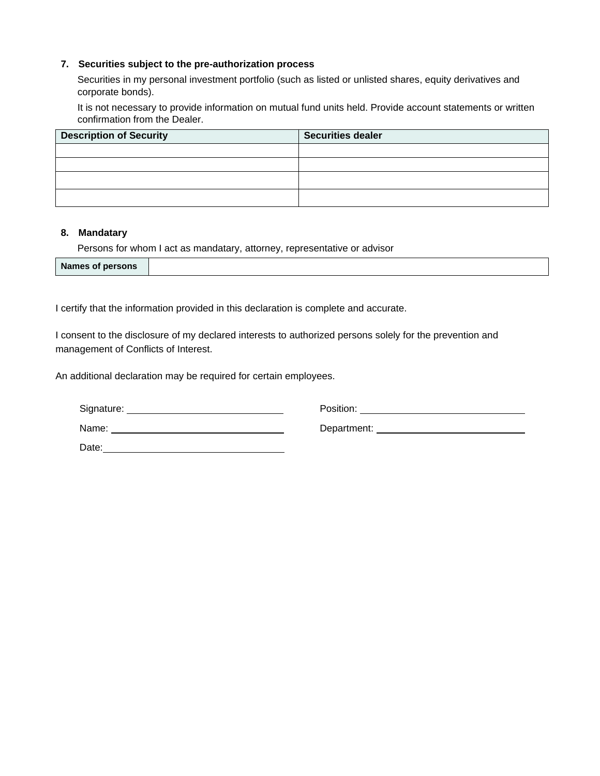#### **7. Securities subject to the pre-authorization process**

Securities in my personal investment portfolio (such as listed or unlisted shares, equity derivatives and corporate bonds).

It is not necessary to provide information on mutual fund units held. Provide account statements or written confirmation from the Dealer.

| <b>Description of Security</b> | <b>Securities dealer</b> |
|--------------------------------|--------------------------|
|                                |                          |
|                                |                          |
|                                |                          |
|                                |                          |

#### **8. Mandatary**

Persons for whom I act as mandatary, attorney, representative or advisor

I certify that the information provided in this declaration is complete and accurate.

I consent to the disclosure of my declared interests to authorized persons solely for the prevention and management of Conflicts of Interest.

An additional declaration may be required for certain employees.

| Signature: | Position:   |
|------------|-------------|
| Name:      | Department: |
| Date:      |             |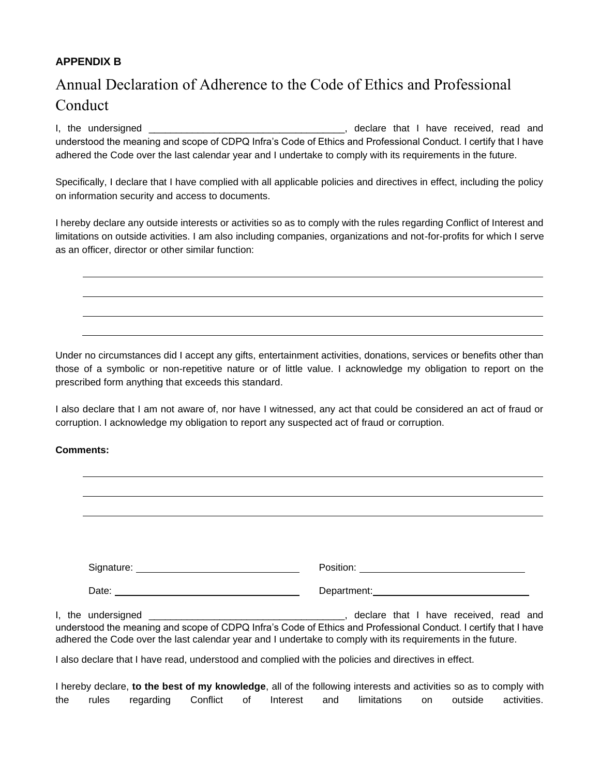### **APPENDIX B**

### Annual Declaration of Adherence to the Code of Ethics and Professional Conduct

I, the undersigned \_\_\_\_\_\_\_\_\_\_\_\_\_\_\_\_\_\_\_\_\_\_\_\_\_\_\_\_\_\_\_\_\_\_\_\_, declare that I have received, read and understood the meaning and scope of CDPQ Infra's Code of Ethics and Professional Conduct. I certify that I have adhered the Code over the last calendar year and I undertake to comply with its requirements in the future.

Specifically, I declare that I have complied with all applicable policies and directives in effect, including the policy on information security and access to documents.

I hereby declare any outside interests or activities so as to comply with the rules regarding Conflict of Interest and limitations on outside activities. I am also including companies, organizations and not-for-profits for which I serve as an officer, director or other similar function:

Under no circumstances did I accept any gifts, entertainment activities, donations, services or benefits other than those of a symbolic or non-repetitive nature or of little value. I acknowledge my obligation to report on the prescribed form anything that exceeds this standard.

I also declare that I am not aware of, nor have I witnessed, any act that could be considered an act of fraud or corruption. I acknowledge my obligation to report any suspected act of fraud or corruption.

#### **Comments:**

| Signature: _ | Position:   |
|--------------|-------------|
| Date:        | Department: |

I, the undersigned \_\_\_\_\_\_\_\_\_\_\_\_\_\_\_\_\_\_\_\_\_\_\_\_\_\_\_\_\_\_\_\_\_\_\_\_, declare that I have received, read and understood the meaning and scope of CDPQ Infra's Code of Ethics and Professional Conduct. I certify that I have adhered the Code over the last calendar year and I undertake to comply with its requirements in the future.

I also declare that I have read, understood and complied with the policies and directives in effect.

I hereby declare, **to the best of my knowledge**, all of the following interests and activities so as to comply with the rules regarding Conflict of Interest and limitations on outside activities.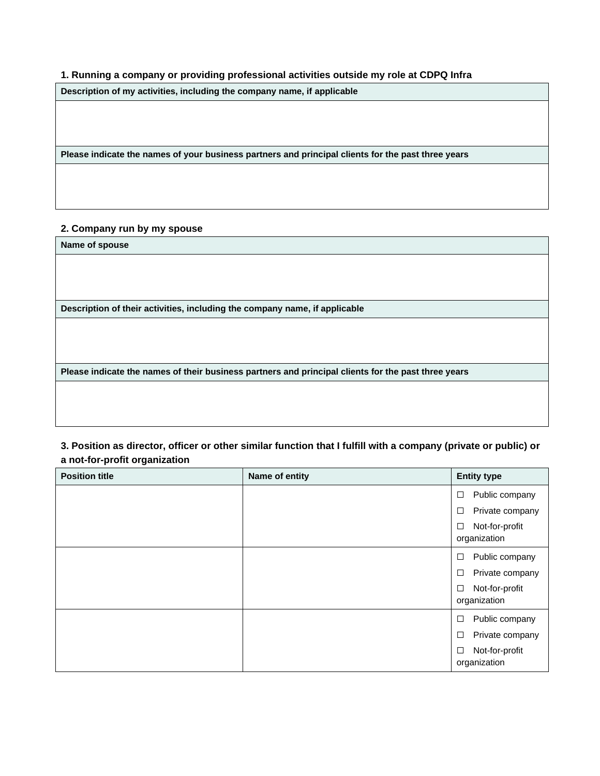#### **1. Running a company or providing professional activities outside my role at CDPQ Infra**

**Description of my activities, including the company name, if applicable**

**Please indicate the names of your business partners and principal clients for the past three years**

#### **2. Company run by my spouse**

**Name of spouse**

**Description of their activities, including the company name, if applicable**

**Please indicate the names of their business partners and principal clients for the past three years**

**3. Position as director, officer or other similar function that I fulfill with a company (private or public) or a not-for-profit organization**

| <b>Position title</b> | Name of entity | <b>Entity type</b>                       |
|-----------------------|----------------|------------------------------------------|
|                       |                | Public company<br>$\Box$                 |
|                       |                | Private company<br>□                     |
|                       |                | Not-for-profit<br>□<br>organization      |
|                       |                | Public company<br>□                      |
|                       |                | Private company<br>$\Box$                |
|                       |                | Not-for-profit<br>□<br>organization      |
|                       |                | Public company<br>□                      |
|                       |                | □<br>Private company                     |
|                       |                | Not-for-profit<br>$\Box$<br>organization |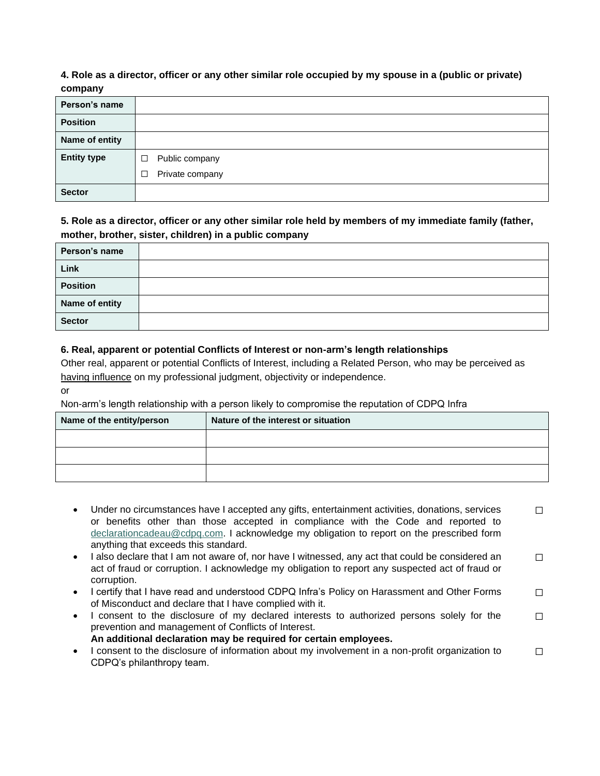#### **4. Role as a director, officer or any other similar role occupied by my spouse in a (public or private) company**

| --------- <i>-</i> |                           |
|--------------------|---------------------------|
| Person's name      |                           |
| <b>Position</b>    |                           |
| Name of entity     |                           |
| <b>Entity type</b> | Public company<br>$\Box$  |
|                    | Private company<br>$\Box$ |
| <b>Sector</b>      |                           |

#### **5. Role as a director, officer or any other similar role held by members of my immediate family (father, mother, brother, sister, children) in a public company**

| Person's name   |  |
|-----------------|--|
| Link            |  |
| <b>Position</b> |  |
| Name of entity  |  |
| <b>Sector</b>   |  |

#### **6. Real, apparent or potential Conflicts of Interest or non-arm's length relationships**

Other real, apparent or potential Conflicts of Interest, including a Related Person, who may be perceived as having influence on my professional judgment, objectivity or independence.

Non-arm's length relationship with a person likely to compromise the reputation of CDPQ Infra

| Name of the entity/person | Nature of the interest or situation |
|---------------------------|-------------------------------------|
|                           |                                     |
|                           |                                     |
|                           |                                     |

- Under no circumstances have I accepted any gifts, entertainment activities, donations, services or benefits other than those accepted in compliance with the Code and reported to [declarationcadeau@cdpq.com.](mailto:declarationcadeau@cdpq.com) I acknowledge my obligation to report on the prescribed form anything that exceeds this standard. ☐
- I also declare that I am not aware of, nor have I witnessed, any act that could be considered an act of fraud or corruption. I acknowledge my obligation to report any suspected act of fraud or corruption. ☐
- I certify that I have read and understood CDPQ Infra's Policy on Harassment and Other Forms of Misconduct and declare that I have complied with it. ☐
- I consent to the disclosure of my declared interests to authorized persons solely for the prevention and management of Conflicts of Interest. **An additional declaration may be required for certain employees.** ☐
- I consent to the disclosure of information about my involvement in a non-profit organization to CDPQ's philanthropy team. ☐

or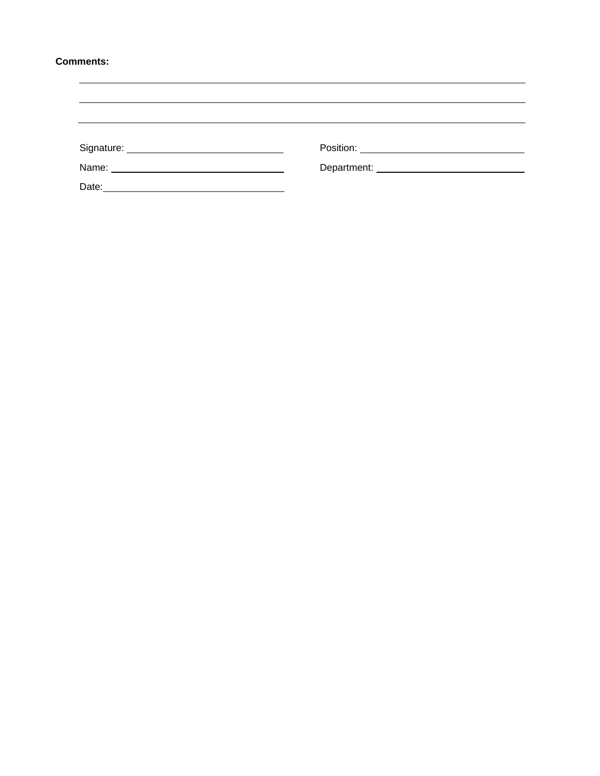#### **Comments:**

|       | Department: ____________________________ |  |
|-------|------------------------------------------|--|
| Date: |                                          |  |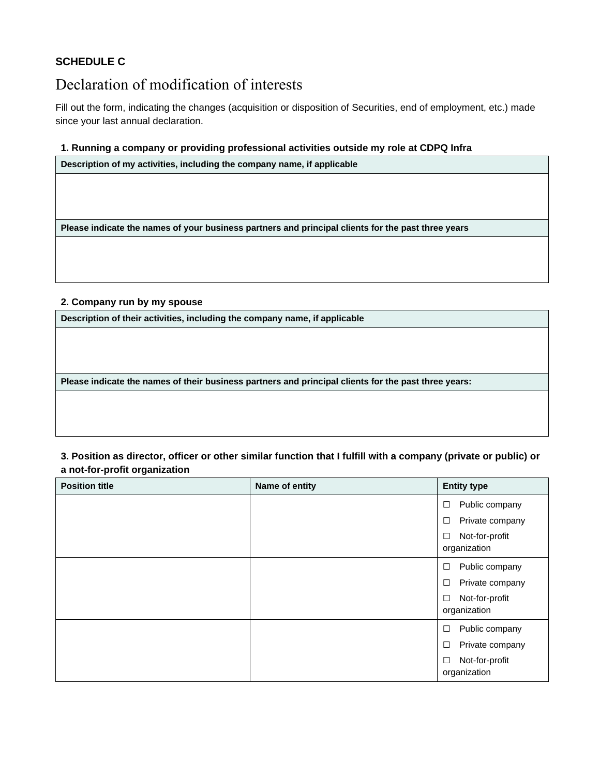### **SCHEDULE C**

### Declaration of modification of interests

Fill out the form, indicating the changes (acquisition or disposition of Securities, end of employment, etc.) made since your last annual declaration.

#### **1. Running a company or providing professional activities outside my role at CDPQ Infra**

**Description of my activities, including the company name, if applicable**

**Please indicate the names of your business partners and principal clients for the past three years**

#### **2. Company run by my spouse**

**Description of their activities, including the company name, if applicable**

**Please indicate the names of their business partners and principal clients for the past three years:**

#### **3. Position as director, officer or other similar function that I fulfill with a company (private or public) or a not-for-profit organization**

| <b>Position title</b> | Name of entity | <b>Entity type</b>                  |
|-----------------------|----------------|-------------------------------------|
|                       |                | Public company<br>□                 |
|                       |                | Private company<br>□                |
|                       |                | Not-for-profit<br>□<br>organization |
|                       |                | Public company<br>□                 |
|                       |                | Private company<br>□                |
|                       |                | Not-for-profit<br>□<br>organization |
|                       |                | Public company<br>□                 |
|                       |                | Private company<br>□                |
|                       |                | Not-for-profit<br>□<br>organization |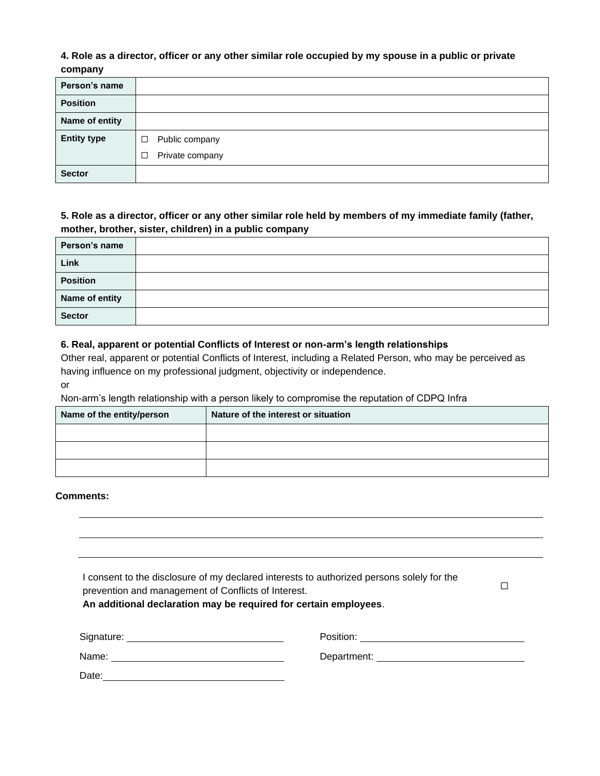#### **4. Role as a director, officer or any other similar role occupied by my spouse in a public or private company**

| Person's name      |                           |
|--------------------|---------------------------|
| <b>Position</b>    |                           |
| Name of entity     |                           |
| <b>Entity type</b> | Public company<br>□       |
|                    | Private company<br>$\Box$ |
| <b>Sector</b>      |                           |

### **5. Role as a director, officer or any other similar role held by members of my immediate family (father, mother, brother, sister, children) in a public company**

| Person's name   |  |
|-----------------|--|
| Link            |  |
| <b>Position</b> |  |
| Name of entity  |  |
| <b>Sector</b>   |  |

#### **6. Real, apparent or potential Conflicts of Interest or non-arm's length relationships**

Other real, apparent or potential Conflicts of Interest, including a Related Person, who may be perceived as having influence on my professional judgment, objectivity or independence.

#### or

Non-arm's length relationship with a person likely to compromise the reputation of CDPQ Infra

| Name of the entity/person | Nature of the interest or situation |
|---------------------------|-------------------------------------|
|                           |                                     |
|                           |                                     |
|                           |                                     |

#### **Comments:**

| prevention and management of Conflicts of Interest. | I consent to the disclosure of my declared interests to authorized persons solely for the<br>An additional declaration may be required for certain employees. |
|-----------------------------------------------------|---------------------------------------------------------------------------------------------------------------------------------------------------------------|
|                                                     |                                                                                                                                                               |
|                                                     | Department: <u>_______________________________</u>                                                                                                            |
|                                                     |                                                                                                                                                               |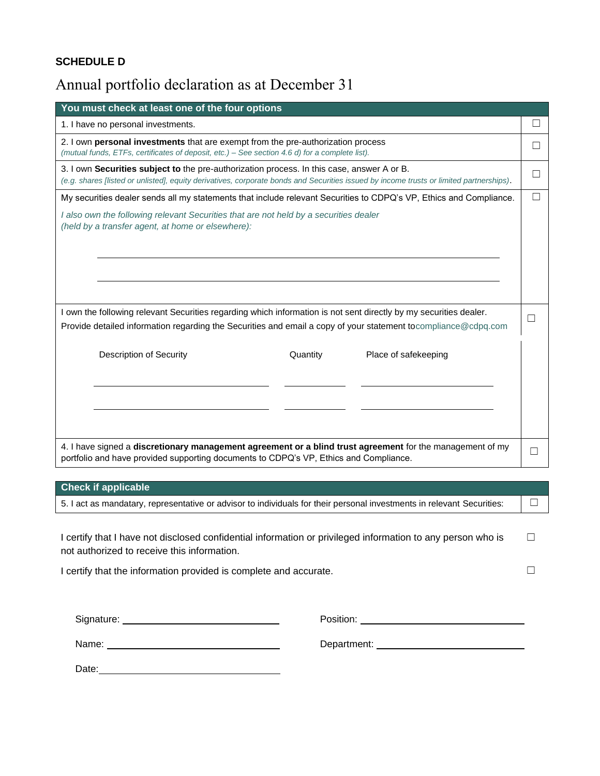### **SCHEDULE D**

### Annual portfolio declaration as at December 31

| You must check at least one of the four options                                                                                                                                                                                              |   |  |  |
|----------------------------------------------------------------------------------------------------------------------------------------------------------------------------------------------------------------------------------------------|---|--|--|
| 1. I have no personal investments.                                                                                                                                                                                                           |   |  |  |
| 2. I own <b>personal investments</b> that are exempt from the pre-authorization process<br>(mutual funds, ETFs, certificates of deposit, etc.) - See section 4.6 d) for a complete list).                                                    |   |  |  |
| 3. I own <b>Securities subject to</b> the pre-authorization process. In this case, answer A or B.<br>(e.g. shares [listed or unlisted], equity derivatives, corporate bonds and Securities issued by income trusts or limited partnerships). |   |  |  |
| My securities dealer sends all my statements that include relevant Securities to CDPQ's VP, Ethics and Compliance.                                                                                                                           | П |  |  |
| I also own the following relevant Securities that are not held by a securities dealer<br>(held by a transfer agent, at home or elsewhere):                                                                                                   |   |  |  |
| I own the following relevant Securities regarding which information is not sent directly by my securities dealer.<br>Provide detailed information regarding the Securities and email a copy of your statement tocompliance@cdpq.com          |   |  |  |
| <b>Description of Security</b><br>Quantity<br>Place of safekeeping                                                                                                                                                                           |   |  |  |
| 4. I have signed a discretionary management agreement or a blind trust agreement for the management of my<br>portfolio and have provided supporting documents to CDPQ's VP, Ethics and Compliance.                                           |   |  |  |

# **Check if applicable** 5. I act as mandatary, representative or advisor to individuals for their personal investments in relevant Securities:  $\Box$ I certify that I have not disclosed confidential information or privileged information to any person who is not authorized to receive this information. ☐ I certify that the information provided is complete and accurate. □ □ Signature: Position: Name: Department:

Date: **Date: Date: Date: Date: Date: Date: Date: Date: Date: Date: Date: Date: Date: Date: Date: Date: Date: Date: Date: Date: Date: Date: Date: Date: Date: Date: Date:**